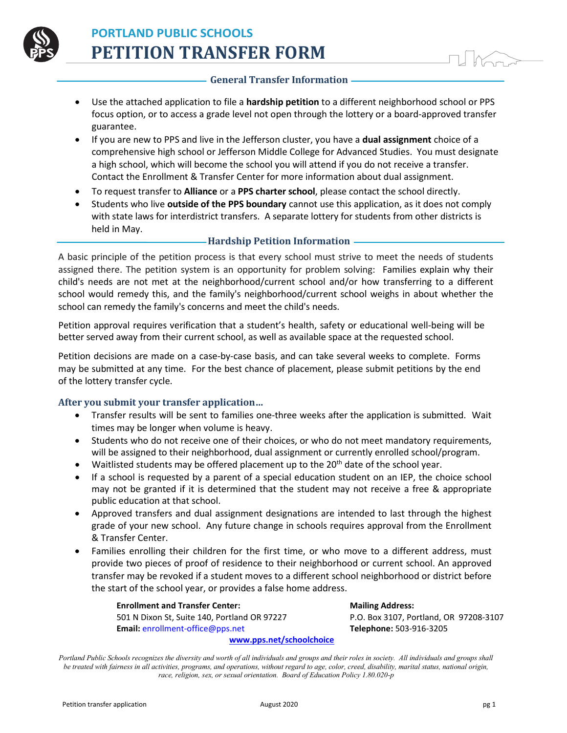

## **General Transfer Information**

- Use the attached application to file a **hardship petition** to a different neighborhood school or PPS focus option, or to access a grade level not open through the lottery or a board-approved transfer guarantee.
- If you are new to PPS and live in the Jefferson cluster, you have a **dual assignment** choice of a comprehensive high school or Jefferson Middle College for Advanced Studies. You must designate a high school, which will become the school you will attend if you do not receive a transfer. Contact the Enrollment & Transfer Center for more information about dual assignment.
- To request transfer to **Alliance** or a **PPS charter school**, please contact the school directly.
- Students who live **outside of the PPS boundary** cannot use this application, as it does not comply with state laws for interdistrict transfers. A separate lottery for students from other districts is held in May.

## **Hardship Petition Information**

A basic principle of the petition process is that every school must strive to meet the needs of students assigned there. The petition system is an opportunity for problem solving: Families explain why their child's needs are not met at the neighborhood/current school and/or how transferring to a different school would remedy this, and the family's neighborhood/current school weighs in about whether the school can remedy the family's concerns and meet the child's needs.

Petition approval requires verification that a student's health, safety or educational well-being will be better served away from their current school, as well as available space at the requested school.

Petition decisions are made on a case-by-case basis, and can take several weeks to complete. Forms may be submitted at any time. For the best chance of placement, please submit petitions by the end of the lottery transfer cycle.

## **After you submit your transfer application…**

- Transfer results will be sent to families one-three weeks after the application is submitted. Wait times may be longer when volume is heavy.
- Students who do not receive one of their choices, or who do not meet mandatory requirements, will be assigned to their neighborhood, dual assignment or currently enrolled school/program.
- Waitlisted students may be offered placement up to the 20<sup>th</sup> date of the school year.
- If a school is requested by a parent of a special education student on an IEP, the choice school may not be granted if it is determined that the student may not receive a free & appropriate public education at that school.
- Approved transfers and dual assignment designations are intended to last through the highest grade of your new school. Any future change in schools requires approval from the Enrollment & Transfer Center.
- Families enrolling their children for the first time, or who move to a different address, must provide two pieces of proof of residence to their neighborhood or current school. An approved transfer may be revoked if a student moves to a different school neighborhood or district before the start of the school year, or provides a false home address.

**Enrollment and Transfer Center: Mailing Address:** 501 N Dixon St, Suite 140, Portland OR 97227 P.O. Box 3107, Portland, OR 97208-3107 **Email:** enrollment-office@pps.net **Telephone:** 503-916-3205 **www.pps.net/schoolchoice**

*Portland Public Schools recognizes the diversity and worth of all individuals and groups and their roles in society. All individuals and groups shall be treated with fairness in all activities, programs, and operations, without regard to age, color, creed, disability, marital status, national origin, race, religion, sex, or sexual orientation. Board of Education Policy 1.80.020-p*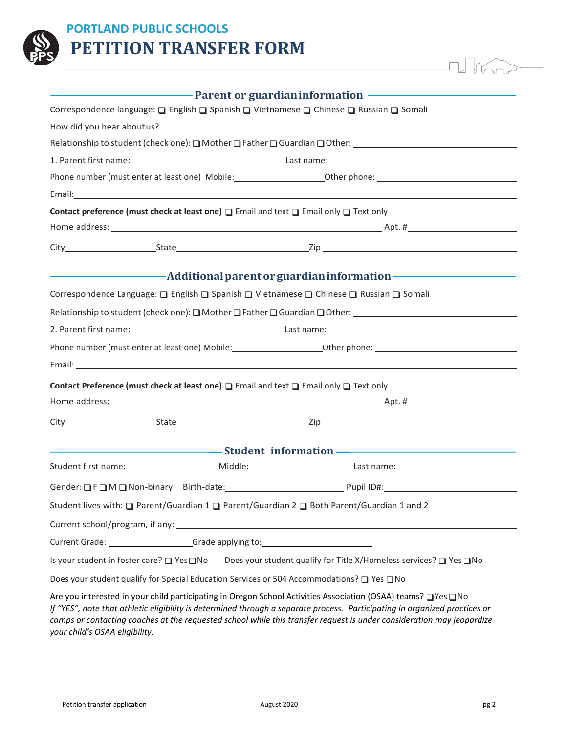

## **PORTLAND PUBLIC SCHOOLS PETITION TRANSFER FORM**

|                                                                                                                 | <b>Example 2</b> Parent or guardian information                                                                                                                                                                                |
|-----------------------------------------------------------------------------------------------------------------|--------------------------------------------------------------------------------------------------------------------------------------------------------------------------------------------------------------------------------|
|                                                                                                                 | Correspondence language: □ English □ Spanish □ Vietnamese □ Chinese □ Russian □ Somali                                                                                                                                         |
|                                                                                                                 |                                                                                                                                                                                                                                |
|                                                                                                                 | Relationship to student (check one): $\Box$ Mother $\Box$ Father $\Box$ Guardian $\Box$ Other:                                                                                                                                 |
|                                                                                                                 | 1. Parent first name: 1. Parent first name: 1. Parent first name: 1. Parent first name:                                                                                                                                        |
|                                                                                                                 |                                                                                                                                                                                                                                |
| Email: 2008. 2009. 2010. 2010. 2010. 2010. 2010. 2010. 2010. 2010. 2011. 2012. 2012. 2012. 2012. 2013. 2014. 20 |                                                                                                                                                                                                                                |
|                                                                                                                 | Contact preference (must check at least one) □ Email and text □ Email only □ Text only                                                                                                                                         |
|                                                                                                                 |                                                                                                                                                                                                                                |
|                                                                                                                 |                                                                                                                                                                                                                                |
|                                                                                                                 | and a set of parent or guardian information and the set of an additional parent or guardian information                                                                                                                        |
|                                                                                                                 | Correspondence Language: □ English □ Spanish □ Vietnamese □ Chinese □ Russian □ Somali                                                                                                                                         |
|                                                                                                                 |                                                                                                                                                                                                                                |
|                                                                                                                 | Relationship to student (check one): O Mother O Father O Guardian O Other: [1984] Motorcycle and A Relationship to student (check one): O Mother O Father O Guardian O Other: [1984] Motorcycle and A Relationship to students |
|                                                                                                                 |                                                                                                                                                                                                                                |
|                                                                                                                 |                                                                                                                                                                                                                                |
|                                                                                                                 |                                                                                                                                                                                                                                |
|                                                                                                                 | Contact Preference (must check at least one) $\Box$ Email and text $\Box$ Email only $\Box$ Text only                                                                                                                          |
|                                                                                                                 |                                                                                                                                                                                                                                |
|                                                                                                                 |                                                                                                                                                                                                                                |
|                                                                                                                 | and the Student information and the Company of Student information and the Company of Student information                                                                                                                      |
|                                                                                                                 |                                                                                                                                                                                                                                |
|                                                                                                                 | Gender: OFOM ONon-binary Birth-date: Pupil ID#: Pupil ID#: Pupil ID#:                                                                                                                                                          |
|                                                                                                                 | Student lives with: □ Parent/Guardian 1 □ Parent/Guardian 2 □ Both Parent/Guardian 1 and 2                                                                                                                                     |
|                                                                                                                 |                                                                                                                                                                                                                                |
| Current Grade: Current Grade: Current Grade: Current Grade: Current Grade: Current Grade: Current Current Curr  |                                                                                                                                                                                                                                |
|                                                                                                                 | Is your student in foster care? □ Yes □ No Does your student qualify for Title X/Homeless services? □ Yes □ No                                                                                                                 |
|                                                                                                                 | Does your student qualify for Special Education Services or 504 Accommodations? □ Yes □ No                                                                                                                                     |
|                                                                                                                 | Are vau interested in vaur child participating in Oregon School Activities Association (OSAA) teams? UNes UNe                                                                                                                  |

Are you interested in your child participating in Oregon School Activities Association (OSAA) teams?  $\Box$  Yes  $\Box$  No *If "YES", note that athletic eligibility is determined through a separate process. Participating in organized practices or camps or contacting coaches at the requested school while this transfer request is under consideration may jeopardize your child's OSAA eligibility.*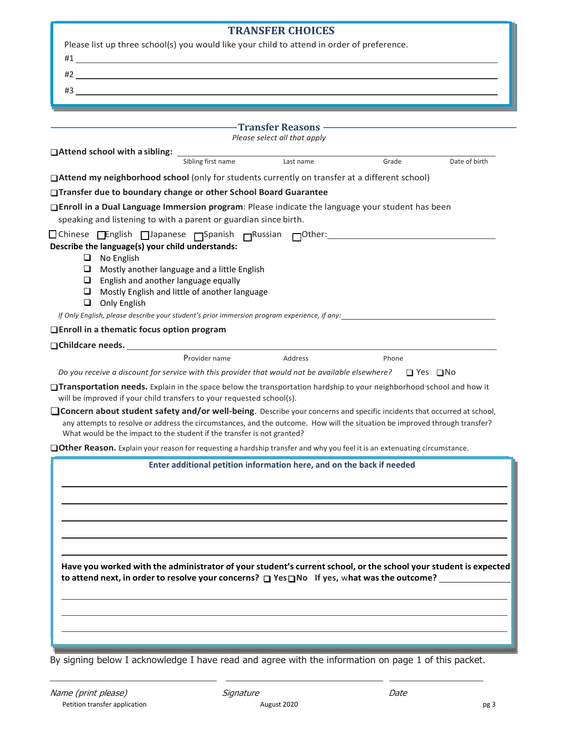| <b>TRANSFER CHOICES</b>                                                                                                                                                                                                             |
|-------------------------------------------------------------------------------------------------------------------------------------------------------------------------------------------------------------------------------------|
| Please list up three school(s) you would like your child to attend in order of preference.                                                                                                                                          |
| $\#1$ <u>and</u> the set of the set of the set of the set of the set of the set of the set of the set of the set of the set of the set of the set of the set of the set of the set of the set of the set of the set of the set of   |
| $#2$ <u>the contract of the contract of the contract of the contract of the contract of the contract of the contract of the contract of the contract of the contract of the contract of the contract of the contract of the con</u> |
| $\#3$ and $\#43$ and $\#5$ and $\#5$ and $\#7$ and $\#7$ and $\#8$ and $\#7$ and $\#8$ and $\#8$ and $\#8$ and $\#8$ and $\#8$ and $\#8$ and $\#8$ and $\#8$ and $\#8$ and $\#8$ and $\#8$ and $\#8$ and $\#8$ and $\#8$ and        |
|                                                                                                                                                                                                                                     |
|                                                                                                                                                                                                                                     |
| Please select all that apply                                                                                                                                                                                                        |
| Sibling first name<br>Last name<br>Grade<br>Date of birth                                                                                                                                                                           |
| □Attend my neighborhood school (only for students currently on transfer at a different school)                                                                                                                                      |
| □Transfer due to boundary change or other School Board Guarantee                                                                                                                                                                    |
| □Enroll in a Dual Language Immersion program: Please indicate the language your student has been                                                                                                                                    |
| speaking and listening to with a parent or guardian since birth.                                                                                                                                                                    |
|                                                                                                                                                                                                                                     |
| Describe the language(s) your child understands:                                                                                                                                                                                    |
| $\Box$<br>No English<br>$\Box$ Mostly another language and a little English                                                                                                                                                         |
| $\Box$ English and another language equally                                                                                                                                                                                         |
| $\Box$ Mostly English and little of another language                                                                                                                                                                                |
| $\Box$ Only English                                                                                                                                                                                                                 |
| If Only English, please describe your student's prior immersion program experience, if any:                                                                                                                                         |
| □ Enroll in a thematic focus option program                                                                                                                                                                                         |
|                                                                                                                                                                                                                                     |
| Provider name<br><b>Address</b><br>Phone                                                                                                                                                                                            |
| Do you receive a discount for service with this provider that would not be available elsewhere? $\square$ Yes $\square$ No                                                                                                          |
| Transportation needs. Explain in the space below the transportation hardship to your neighborhood school and how it<br>will be improved if your child transfers to your requested school(s).                                        |
| □ Concern about student safety and/or well-being. Describe your concerns and specific incidents that occurred at school,                                                                                                            |
| any attempts to resolve or address the circumstances, and the outcome. How will the situation be improved through transfer?<br>What would be the impact to the student if the transfer is not granted?                              |
| □ Other Reason. Explain your reason for requesting a hardship transfer and why you feel it is an extenuating circumstance.                                                                                                          |
| Enter additional petition information here, and on the back if needed                                                                                                                                                               |
|                                                                                                                                                                                                                                     |
|                                                                                                                                                                                                                                     |
|                                                                                                                                                                                                                                     |
|                                                                                                                                                                                                                                     |
|                                                                                                                                                                                                                                     |
|                                                                                                                                                                                                                                     |
| Have you worked with the administrator of your student's current school, or the school your student is expected                                                                                                                     |
| to attend next, in order to resolve your concerns? $\Box$ Yes $\Box$ No If yes, what was the outcome?                                                                                                                               |
|                                                                                                                                                                                                                                     |
|                                                                                                                                                                                                                                     |
|                                                                                                                                                                                                                                     |
|                                                                                                                                                                                                                                     |
|                                                                                                                                                                                                                                     |
| By signing below I acknowledge I have read and agree with the information on page 1 of this packet.                                                                                                                                 |